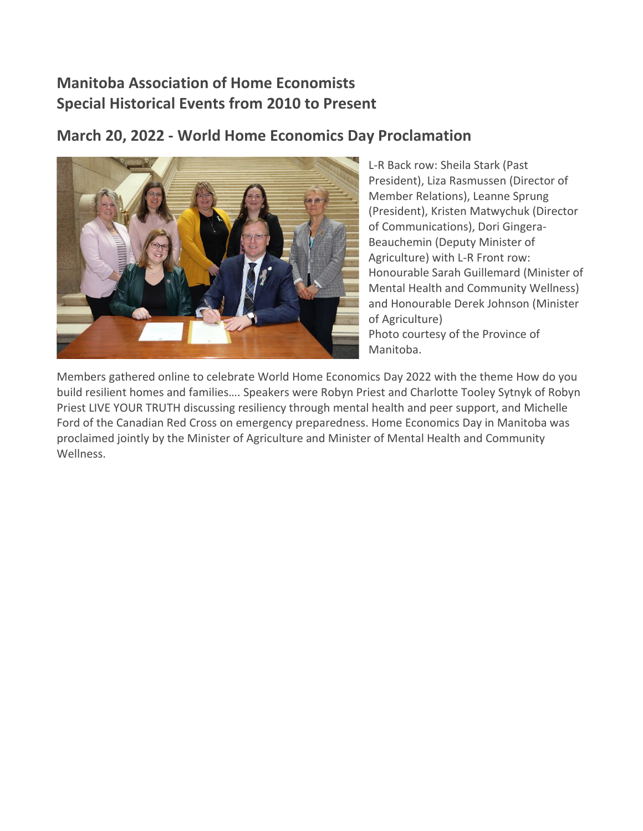# **Manitoba Association of Home Economists Special Historical Events from 2010 to Present**

### **March 20, 2022 - World Home Economics Day Proclamation**



L-R Back row: Sheila Stark (Past President), Liza Rasmussen (Director of Member Relations), Leanne Sprung (President), Kristen Matwychuk (Director of Communications), Dori Gingera-Beauchemin (Deputy Minister of Agriculture) with L-R Front row: Honourable Sarah Guillemard (Minister of Mental Health and Community Wellness) and Honourable Derek Johnson (Minister of Agriculture) Photo courtesy of the Province of Manitoba.

Members gathered online to celebrate World Home Economics Day 2022 with the theme How do you build resilient homes and families…. Speakers were Robyn Priest and Charlotte Tooley Sytnyk of Robyn Priest LIVE YOUR TRUTH discussing resiliency through mental health and peer support, and Michelle Ford of the Canadian Red Cross on emergency preparedness. Home Economics Day in Manitoba was proclaimed jointly by the Minister of Agriculture and Minister of Mental Health and Community Wellness.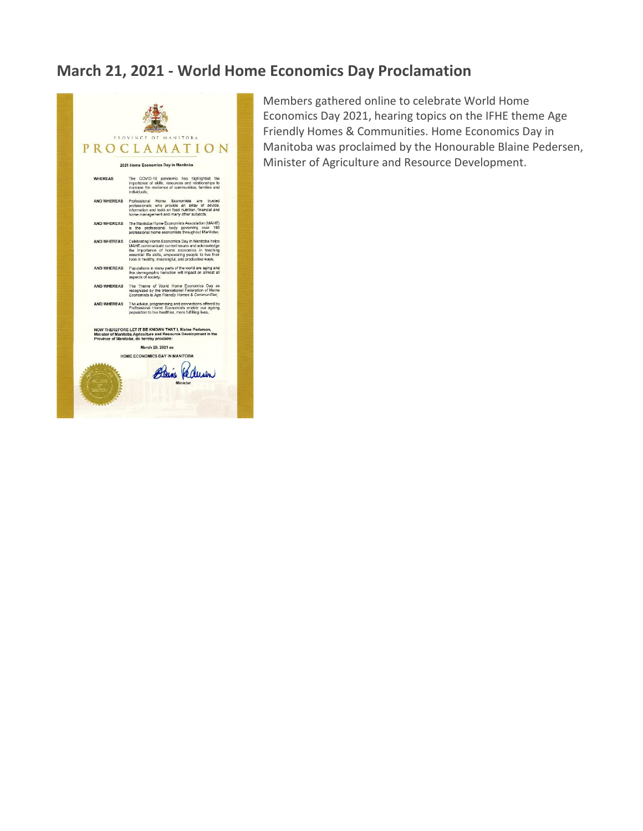# **March 21, 2021 - World Home Economics Day Proclamation**



Members gathered online to celebrate World Home Economics Day 2021, hearing topics on the IFHE theme Age Friendly Homes & Communities. Home Economics Day in Manitoba was proclaimed by the Honourable Blaine Pedersen, Minister of Agriculture and Resource Development.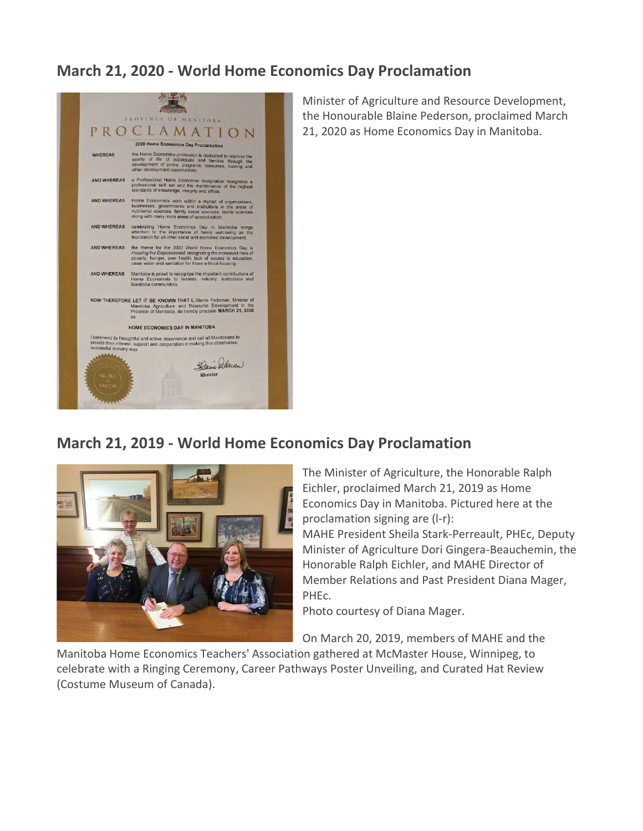#### **March 21, 2020 - World Home Economics Day Proclamation**



Minister of Agriculture and Resource Development, the Honourable Blaine Pederson, proclaimed March 21, 2020 as Home Economics Day in Manitoba.

#### **March 21, 2019 - World Home Economics Day Proclamation**



The Minister of Agriculture, the Honorable Ralph Eichler, proclaimed March 21, 2019 as Home Economics Day in Manitoba. Pictured here at the proclamation signing are (l-r):

MAHE President Sheila Stark-Perreault, PHEc, Deputy Minister of Agriculture Dori Gingera-Beauchemin, the Honorable Ralph Eichler, and MAHE Director of Member Relations and Past President Diana Mager, PHEc.

Photo courtesy of Diana Mager.

On March 20, 2019, members of MAHE and the

Manitoba Home Economics Teachers' Association gathered at McMaster House, Winnipeg, to celebrate with a Ringing Ceremony, Career Pathways Poster Unveiling, and Curated Hat Review (Costume Museum of Canada).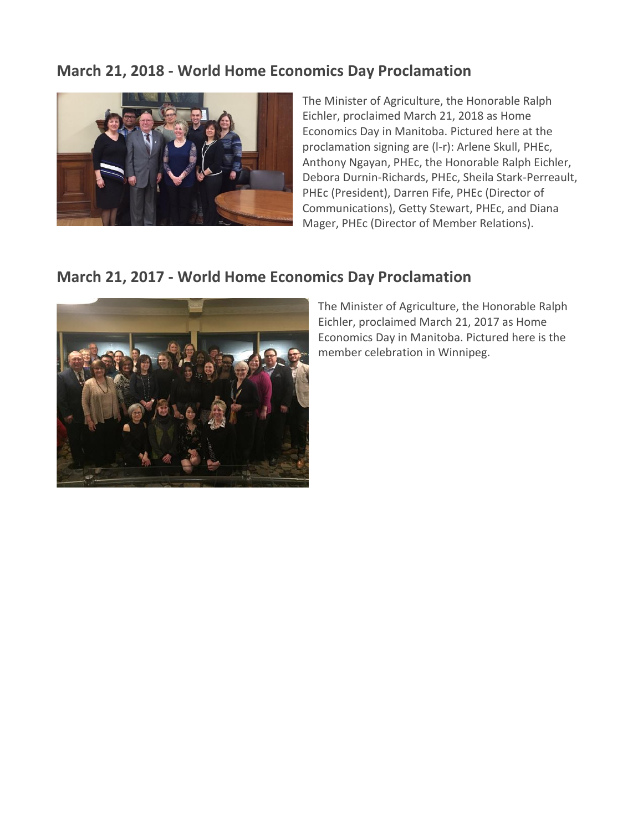### **March 21, 2018 - World Home Economics Day Proclamation**



The Minister of Agriculture, the Honorable Ralph Eichler, proclaimed March 21, 2018 as Home Economics Day in Manitoba. Pictured here at the proclamation signing are (l-r): Arlene Skull, PHEc, Anthony Ngayan, PHEc, the Honorable Ralph Eichler, Debora Durnin-Richards, PHEc, Sheila Stark-Perreault, PHEc (President), Darren Fife, PHEc (Director of Communications), Getty Stewart, PHEc, and Diana Mager, PHEc (Director of Member Relations).

#### **March 21, 2017 - World Home Economics Day Proclamation**



The Minister of Agriculture, the Honorable Ralph Eichler, proclaimed March 21, 2017 as Home Economics Day in Manitoba. Pictured here is the member celebration in Winnipeg.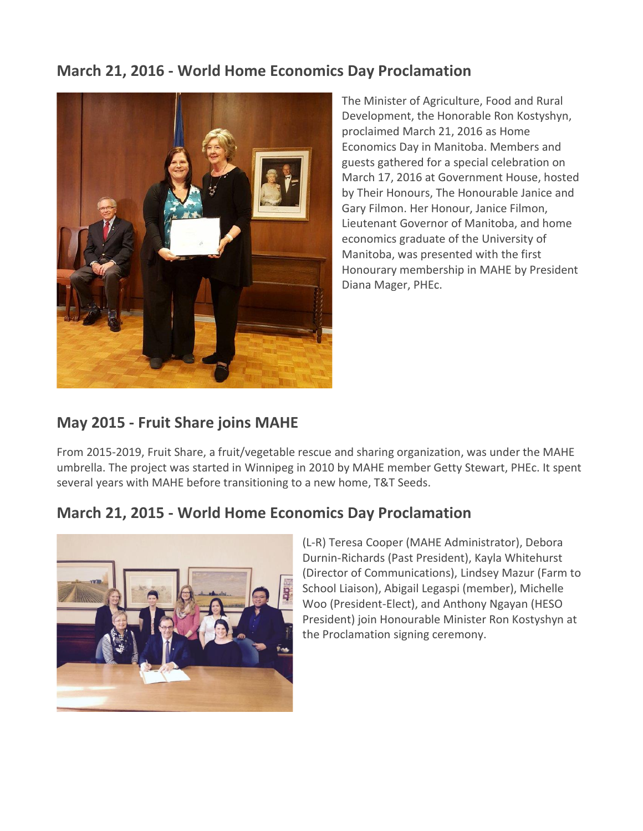## **March 21, 2016 - World Home Economics Day Proclamation**



The Minister of Agriculture, Food and Rural Development, the Honorable Ron Kostyshyn, proclaimed March 21, 2016 as Home Economics Day in Manitoba. Members and guests gathered for a special celebration on March 17, 2016 at Government House, hosted by Their Honours, The Honourable Janice and Gary Filmon. Her Honour, Janice Filmon, Lieutenant Governor of Manitoba, and home economics graduate of the University of Manitoba, was presented with the first Honourary membership in MAHE by President Diana Mager, PHEc.

## **May 2015 - Fruit Share joins MAHE**

From 2015-2019, Fruit Share, a fruit/vegetable rescue and sharing organization, was under the MAHE umbrella. The project was started in Winnipeg in 2010 by MAHE member Getty Stewart, PHEc. It spent several years with MAHE before transitioning to a new home, T&T Seeds.

### **March 21, 2015 - World Home Economics Day Proclamation**



(L-R) Teresa Cooper (MAHE Administrator), Debora Durnin-Richards (Past President), Kayla Whitehurst (Director of Communications), Lindsey Mazur (Farm to School Liaison), Abigail Legaspi (member), Michelle Woo (President-Elect), and Anthony Ngayan (HESO President) join Honourable Minister Ron Kostyshyn at the Proclamation signing ceremony.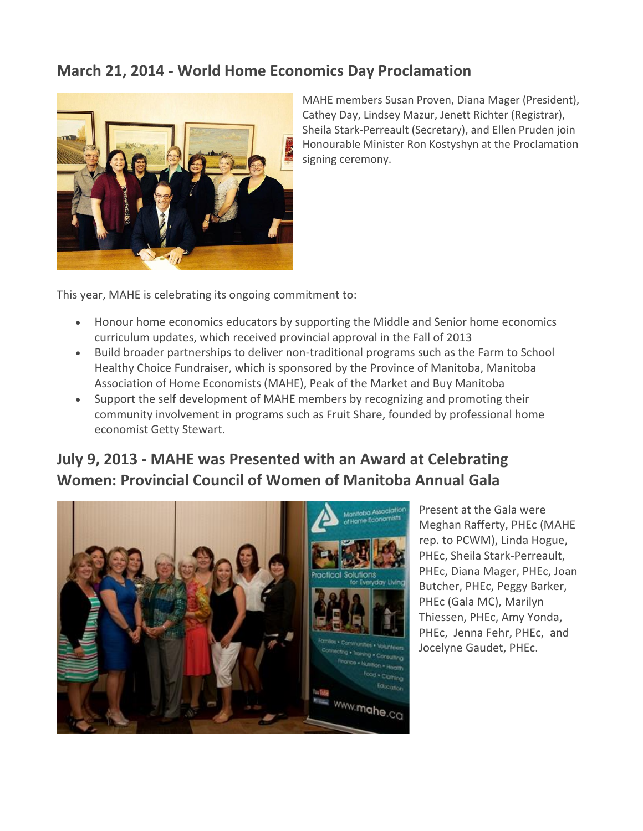### **March 21, 2014 - World Home Economics Day Proclamation**



MAHE members Susan Proven, Diana Mager (President), Cathey Day, Lindsey Mazur, Jenett Richter (Registrar), Sheila Stark-Perreault (Secretary), and Ellen Pruden join Honourable Minister Ron Kostyshyn at the Proclamation signing ceremony.

This year, MAHE is celebrating its ongoing commitment to:

- Honour home economics educators by supporting the Middle and Senior home economics curriculum updates, which received provincial approval in the Fall of 2013
- Build broader partnerships to deliver non-traditional programs such as the Farm to School Healthy Choice Fundraiser, which is sponsored by the Province of Manitoba, Manitoba Association of Home Economists (MAHE), Peak of the Market and Buy Manitoba
- Support the self development of MAHE members by recognizing and promoting their community involvement in programs such as Fruit Share, founded by professional home economist Getty Stewart.

# **July 9, 2013 - MAHE was Presented with an Award at Celebrating Women: Provincial Council of Women of Manitoba Annual Gala**



Present at the Gala were Meghan Rafferty, PHEc (MAHE rep. to PCWM), Linda Hogue, PHEc, Sheila Stark-Perreault, PHEc, Diana Mager, PHEc, Joan Butcher, PHEc, Peggy Barker, PHEc (Gala MC), Marilyn Thiessen, PHEc, Amy Yonda, PHEc, Jenna Fehr, PHEc, and Jocelyne Gaudet, PHEc.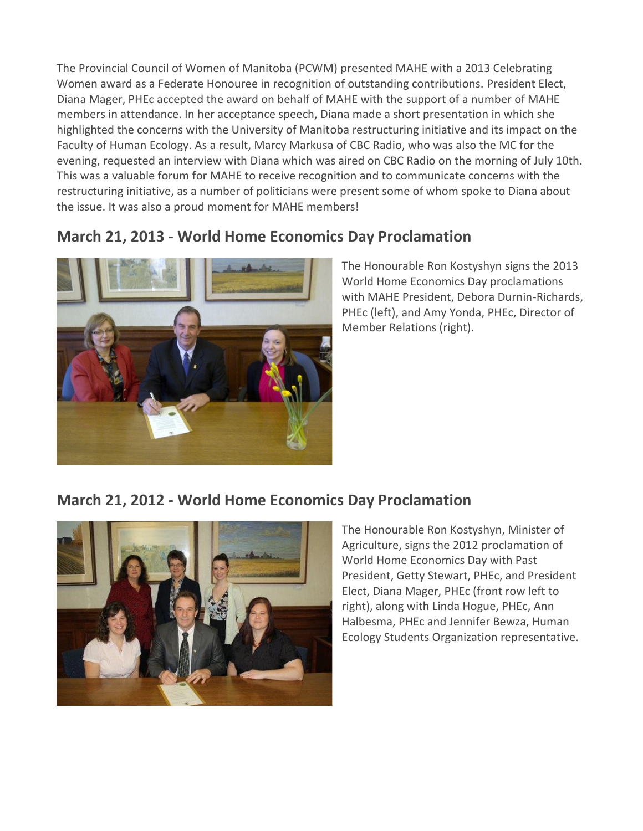The Provincial Council of Women of Manitoba (PCWM) presented MAHE with a 2013 Celebrating Women award as a Federate Honouree in recognition of outstanding contributions. President Elect, Diana Mager, PHEc accepted the award on behalf of MAHE with the support of a number of MAHE members in attendance. In her acceptance speech, Diana made a short presentation in which she highlighted the concerns with the University of Manitoba restructuring initiative and its impact on the Faculty of Human Ecology. As a result, Marcy Markusa of CBC Radio, who was also the MC for the evening, requested an interview with Diana which was aired on CBC Radio on the morning of July 10th. This was a valuable forum for MAHE to receive recognition and to communicate concerns with the restructuring initiative, as a number of politicians were present some of whom spoke to Diana about the issue. It was also a proud moment for MAHE members!

## **March 21, 2013 - World Home Economics Day Proclamation**



The Honourable Ron Kostyshyn signs the 2013 World Home Economics Day proclamations with MAHE President, Debora Durnin-Richards, PHEc (left), and Amy Yonda, PHEc, Director of Member Relations (right).

#### **March 21, 2012 - World Home Economics Day Proclamation**



The Honourable Ron Kostyshyn, Minister of Agriculture, signs the 2012 proclamation of World Home Economics Day with Past President, Getty Stewart, PHEc, and President Elect, Diana Mager, PHEc (front row left to right), along with Linda Hogue, PHEc, Ann Halbesma, PHEc and Jennifer Bewza, Human Ecology Students Organization representative.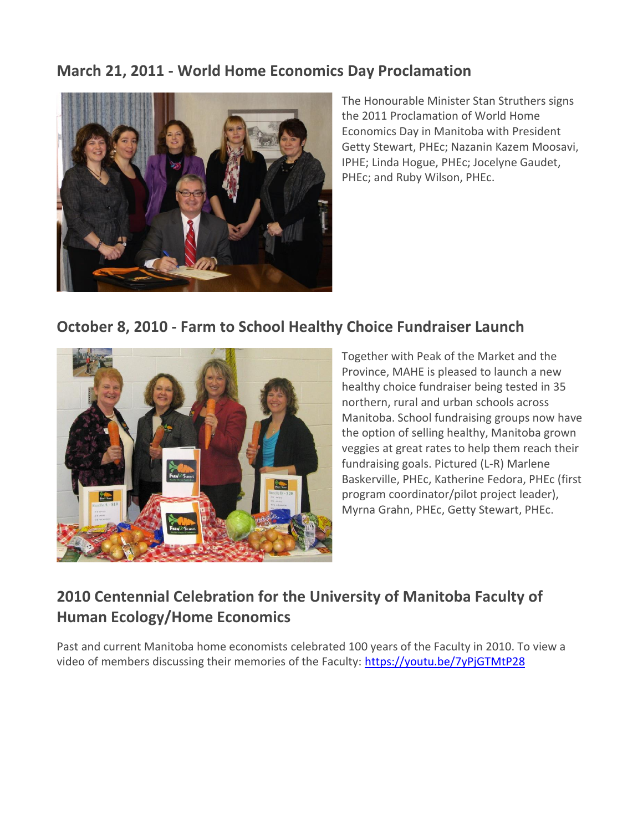### **March 21, 2011 - World Home Economics Day Proclamation**



The Honourable Minister Stan Struthers signs the 2011 Proclamation of World Home Economics Day in Manitoba with President Getty Stewart, PHEc; Nazanin Kazem Moosavi, IPHE; Linda Hogue, PHEc; Jocelyne Gaudet, PHEc; and Ruby Wilson, PHEc.

### **October 8, 2010 - Farm to School Healthy Choice Fundraiser Launch**



Together with Peak of the Market and the Province, MAHE is pleased to launch a new healthy choice fundraiser being tested in 35 northern, rural and urban schools across Manitoba. School fundraising groups now have the option of selling healthy, Manitoba grown veggies at great rates to help them reach their fundraising goals. Pictured (L-R) Marlene Baskerville, PHEc, Katherine Fedora, PHEc (first program coordinator/pilot project leader), Myrna Grahn, PHEc, Getty Stewart, PHEc.

# **2010 Centennial Celebration for the University of Manitoba Faculty of Human Ecology/Home Economics**

Past and current Manitoba home economists celebrated 100 years of the Faculty in 2010. To view a video of members discussing their memories of the Faculty:<https://youtu.be/7yPjGTMtP28>